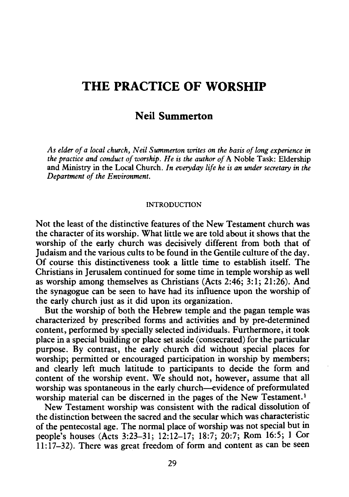# **THE PRACTICE OF WORSHIP**

## **N eil Summerton**

*As elder of a local church, Neil Summerton writes on the basis of long experience in the practice and conduct of worship. He is the author of* A Noble Task: Eldership and Ministry in the Local Church. *In everyday life he is an under secretary in the Department of the Environment.* 

#### INTRODUCTION

Not the least of the distinctive features of the New Testament church was the character of its worship. What little we are told about it shows that the worship of the early church was decisively different from both that of Judaism and the various cults to be found in the Gentile culture of the day. Of course this distinctiveness took a little time to establish itself. The Christians in Jerusalem continued for some time in temple worship as well as worship among themselves as Christians (Acts 2:46; 3:1; 21:26). And the synagogue can be seen to have had its influence upon the worship of the early church just as it did upon its organization.

But the worship of both the Hebrew temple and the pagan temple was characterized by prescribed forms and activities and by pre-determined content, performed by specially selected individuals. Furthermore, it took place in a special building or place set aside (consecrated) for the particular purpose. By contrast, the early church did without special places for worship; permitted or encouraged participation in worship by members; and clearly left much latitude to participants to decide the form and content of the worship event. We should not, however, assume that all worship was spontaneous in the early church--evidence of preformulated worship material can be discerned in the pages of the New Testament.<sup>1</sup>

New Testament worship was consistent with the radical dissolution of the distinction between the sacred and the secular which was characteristic of the pentecostal age. The normal place of worship was not special but in people's houses (Acts 3:23-31; 12:12-17; 18:7; 20:7; Rom 16:5; 1 Cor 11:17-32). There was great freedom of form and content as can be seen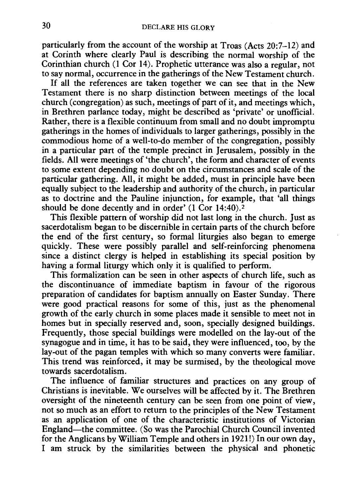particularly from the account of the worship at Troas (Acts 20:7-12) and at Corinth where clearly Paul is describing the normal worship of the Corinthian church (1 Cor 14). Prophetic utterance was also a regular, not to say normal, occurrence in the gatherings of the New Testament church.

If all the references are taken together we can see that in the New Testament there is no sharp distinction between meetings of the local church (congregation) as such, meetings of part of it, and meetings which, in Brethren parlance today, might be described as 'private' or unofficial. Rather, there is a flexible continuum from small and no doubt impromptu gatherings in the homes of individuals to larger gatherings, possibly in the commodious home of a well-to-do member of the congregation, possibly in a particular part of the temple precinct in Jerusalem, possibly in the fields. All were meetings of 'the church', the form and character of events to some extent depending no doubt on the circumstances and scale of the particular gathering. All, it might be added, must in principle have been equally subject to the leadership and authority of the church, in particular as to doctrine and the Pauline injunction, for example, that 'all things should be done decently and in order' (1 Cor 14:40).<sup>2</sup>

This flexible pattern of worship did not last long in the church. Just as sacerdotalism began to be discernible in certain parts of the church before the end of the first century, so formal liturgies also began to emerge quickly. These were possibly parallel and self-reinforcing phenomena since a distinct clergy is helped in establishing its special position by having a formal liturgy which only it is qualified to perform.

This formalization can be seen in other aspects of church life, such as the discontinuance of immediate baptism in favour of the rigorous preparation of candidates for baptism annually on Easter Sunday. There were good practical reasons for some of this, just as the phenomenal growth of the early church in some places made it sensible to meet not in homes but in specially reserved and, soon, specially designed buildings. Frequently, those special buildings were modelled on the lay-out of the synagogue and in time, it has to be said, they were influenced, too, by the lay-out of the pagan temples with which so many converts were familiar. This trend was reinforced, it may be surmised, by the theological move towards sacerdotalism.

The influence of familiar structures and practices on any group of Christians is inevitable. We ourselves will be affected by it. The Brethren oversight of the nineteenth century can be seen from one point of view, not so much as an effort to return to the principles of the New Testament as an application of one of the characteristic institutions of Victorian England-the committee. (So was the Parochial Church Council invented for the Anglicans by William Temple and others in 1921!) In our own day, I am struck by the similarities between the physical and phonetic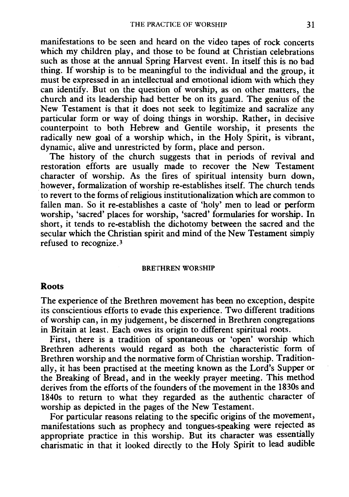manifestations to be seen and heard on the video tapes of rock concerts which my children play, and those to be found at Christian celebrations such as those at the annual Spring Harvest event. In itself this is no bad thing. If worship is to be meaningful to the individual and the group, it must be expressed in an intellectual and emotional idiom with which they can identify. But on the question of worship, as on other matters, the church and its leadership had better be on its guard. The genius of the New Testament is that it does not seek to legitimize and sacralize any particular form or way of doing things in worship. Rather, in decisive counterpoint to both Hebrew and Gentile worship, it presents the radically new goal of a worship which, in the Holy Spirit, is vibrant, dynamic, alive and unrestricted by form, place and person.

The history of the church suggests that in periods of revival and restoration efforts are usually made to recover the New Testament character of worship. As the fires of spiritual intensity burn down, however, formalization of worship re-establishes itself. The church tends to revert to the forms of religious institutionalization which are common to fallen man. So it re-establishes a caste of 'holy' men to lead or perform worship, 'sacred' places for worship, 'sacred' formularies for worship. In short, it tends to re-establish the dichotomy between the sacred and the secular which the Christian spirit and mind of the New Testament simply refused to recognize.3

#### BRETHREN WORSHIP

#### Roots

The experience of the Brethren movement has been no exception, despite its conscientious efforts to evade this experience. Two different traditions of worship can, in my judgement, be discerned in Brethren congregations in Britain at least. Each owes its origin to different spiritual roots.

First, there is a tradition of spontaneous or 'open' worship which Brethren adherents would regard as both the characteristic form of Brethren worship and the normative form of Christian worship. Traditionally, it has been practised at the meeting known as the Lord's Supper or the Breaking of Bread, and in the weekly prayer meeting. This method derives from the efforts of the founders of the movement in the 1830s and 1840s to return to what they regarded as the authentic character of worship as depicted in the pages of the New Testament.

For particular reasons relating to the specific origins of the movement, manifestations such as prophecy and tongues-speaking were rejected as appropriate practice in this worship. But its character was essentially charismatic in that it looked directly to the Holy Spirit to lead audible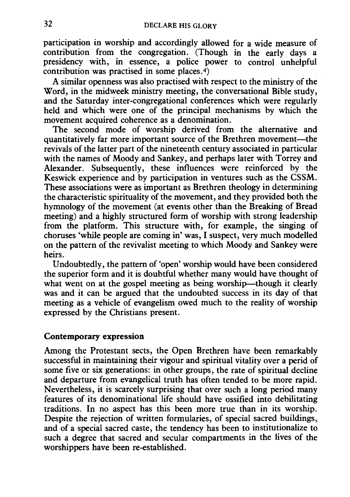participation in worship and accordingly allowed for a wide measure of contribution from the congregation. (Though in the early days a presidency with, in essence, a police power to control unhelpful contribution was practised in some places.<sup>4</sup>)

A similar openness was also practised with respect to the ministry of the Word, in the midweek ministry meeting, the conversational Bible study, and the Saturday inter-congregational conferences which were regularly held and which were one of the principal mechanisms by which the movement acquired coherence as a denomination.

The second mode of worship derived from the alternative and quantitatively far more important source of the Brethren movement-the revivals of the latter part of the nineteenth century associated in particular with the names of Moody and Sankey, and perhaps later with Torrey and Alexander. Subsequently, these influences were reinforced by the Keswick experience and by participation in ventures such as the CSSM. These associations were as important as Brethren theology in determining the characteristic spirituality of the movement, and they provided both the hymnology of the movement (at events other than the Breaking of Bread meeting) and a highly structured form of worship with strong leadership from the platform. This structure with, for example, the singing of choruses 'while people are coming in' was, I suspect, very much modelled on the pattern of the revivalist meeting to which Moody and Sankey were heirs.

Undoubtedly, the pattern of 'open' worship would have been considered the superior form and it is doubtful whether many would have thought of what went on at the gospel meeting as being worship-though it clearly was and it can be argued that the undoubted success in its day of that meeting as a vehicle of evangelism owed much to the reality of worship expressed by the Christians present.

## **Contemporary expression**

Among the Protestant sects, the Open Brethren have been remarkably successful in maintaining their vigour and spiritual vitality over a perid of some five or six generations: in other groups, the rate of spiritual decline and departure from evangelical truth has often tended to be more rapid. Nevertheless, it is scarcely surprising that over such a long period many features of its denominational life should have ossified into debilitating traditions. In no aspect has this been more true than in its worship. Despite the rejection of written formularies, of special sacred buildings, and of a special sacred caste, the tendency has been to institutionalize to such a degree that sacred and secular compartments in the lives of the worshippers have been re-established.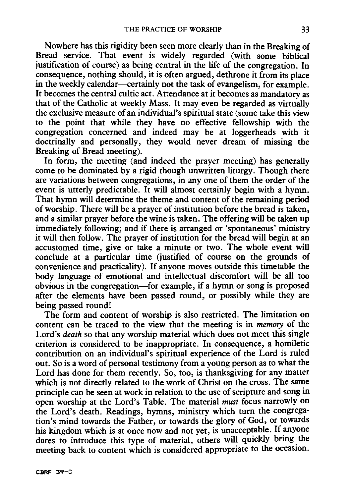Nowhere has this rigidity been seen more clearly than in the Breaking of Bread service. That event is widely regarded (with some biblical justification of course) as being central in the life of the congregation. In consequence, nothing should, it is often argued, dethrone it from its place in the weekly calendar—certainly not the task of evangelism, for example. It becomes the central cultic act. Attendance at it becomes as mandatory as that of the Catholic at weekly Mass. It may even be regarded as virtually the exclusive measure of an individual's spiritual state (some take this view to the point that while they have no effective fellowship with the congregation concerned and indeed may be at loggerheads with it doctrinally and personally, they would never dream of missing the Breaking of Bread meeting).

In form, the meeting (and indeed the prayer meeting) has generally come to be dominated by a rigid though unwritten liturgy. Though there are variations between congregations, in any one of them the order of the event is utterly predictable. It will almost certainly begin with a hymn. That hymn will determine the theme and content of the remaining period of worship. There will be a prayer of institution before the bread is taken, and a similar prayer before the wine is taken. The offering will be taken up immediately following; and if there is arranged or 'spontaneous' ministry it will then follow. The prayer of institution for the bread will begin at an accustomed time, give or take a minute or two. The whole event will conclude at a particular time (justified of course on the grounds of convenience and practicality). If anyone moves outside this timetable the body language of emotional and intellectual discomfort will be all too obvious in the congregation-for example, if a hymn or song is proposed after the elements have been passed round, or possibly while they are being passed round!

The form and content of worship is also restricted. The limitation on content can be traced to the view that the meeting is in memory of the Lord's *death* so that any worship material which does not meet this single criterion is considered to be inappropriate. In consequence, a homiletic contribution on an individual's spiritual experience of the Lord is ruled out. So is a word of personal testimony from a young person as to what the Lord has done for them recently. So, too, is thanksgiving for any matter which is not directly related to the work of Christ on the cross. The same principle can be seen at work in relation to the use of scripture and song in open worship at the Lord's Table. The material *must* focus narrowly on the Lord's death. Readings, hymns, ministry which turn the congregation's mind towards the Father, or towards the glory of God, or towards his kingdom which is at once now and not yet, is unacceptable. If anyone dares to introduce this type of material, others will quickly bring the meeting back to content which is considered appropriate to the occasion.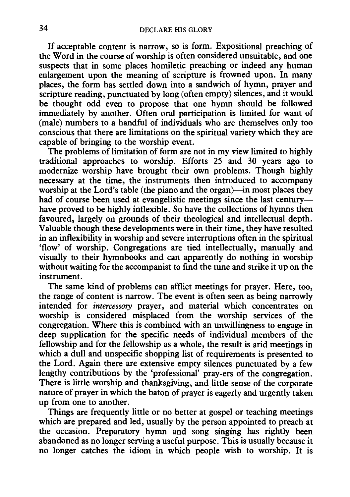If acceptable content is narrow, so is form. Expositional preaching of the Word in the course of worship is often considered unsuitable, and one suspects that in some places homiletic preaching or indeed any human enlargement upon the meaning of scripture is frowned upon. In many places, the form has settled down into a sandwich of hymn, prayer and scripture reading, punctuated by long (often empty) silences, and it would be thought odd even to propose that one hymn should be followed immediately by another. Often oral participation is limited for want of (male) numbers to a handful of individuals who are themselves only too conscious that there are limitations on the spiritual variety which they are capable of bringing to the worship event.

The problems of limitation of form are not in my view limited to highly traditional approaches to worship. Efforts 25 and 30 years ago to modernize worship have brought their own problems. Though highly necessary at the time, the instruments then introduced to accompany worship at the Lord's table (the piano and the organ)—in most places they had of course been used at evangelistic meetings since the last centuryhave proved to be highly inflexible. So have the collections of hymns then favoured, largely on grounds of their theological and intellectual depth. Valuable though these developments were in their time, they have resulted in an inflexibility in worship and severe interruptions often in the spiritual 'flow' of worship. Congregations are tied intellectually, manually and visually to their hymnbooks and can apparently do nothing in worship without waiting for the accompanist to find the tune and strike it up on the instrument.

The same kind of problems can afflict meetings for prayer. Here, too, the range of content is narrow. The event is often seen as being narrowly intended for *intercessory* prayer, and material which concentrates on worship is considered misplaced from the worship services of the congregation. Where this is combined with an unwillingness to engage in deep supplication for the specific needs of individual members of the fellowship and for the fellowship as a whole, the result is arid meetings in which a dull and unspecific shopping list of requirements is presented to the Lord. Again there are extensive empty silences punctuated by a few lengthy contributions by the 'professional' pray-ers of the congregation. There is little worship and thanksgiving, and little sense of the corporate nature of prayer in which the baton of prayer is eagerly and urgently taken up from one to another.

Things are frequently little or no better at gospel or teaching meetings which are prepared and led, usually by the person appointed to preach at the occasion. Preparatory hymn and song singing has rightly been abandoned as no longer serving a useful purpose. This is usually because it no longer catches the idiom in which people wish to worship. It is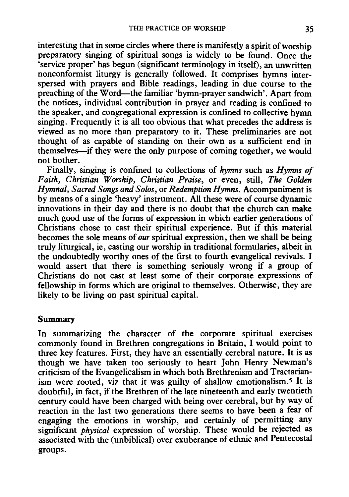interesting that in some circles where there is manifestly a spirit of worship preparatory singing of spiritual songs is widely to be found. Once the 'service proper' has begun (significant terminology in itself), an unwritten nonconformist liturgy is generally followed. It comprises hymns interspersed with prayers and Bible readings, leading in due course to the preaching of the Word-the familiar 'hymn-prayer sandwich'. Apart from the notices, individual contribution in prayer and reading is confined to the speaker, and congregational expression is confined to collective hymn singing. Frequently it is all too obvious that what precedes the address is viewed as no more than preparatory to it. These preliminaries are not thought of as capable of standing on their own as a sufficient end in themselves-if they were the only purpose of coming together, we would not bother.

Finally, singing is confined to collections of *hymns* such as *Hymns of Faith, Christian Worship, Christian Praise,* or even, still, *The Golden Hymnal, Sacred Songs and Solos,* or *Redemption Hymns.* Accompaniment is by means of a single 'heavy' instrument. All these were of course dynamic innovations in their day and there is no doubt that the church can make much good use of the forms of expression in which earlier generations of Christians chose to cast their spiritual experience. But if this material becomes the sole means of *our* spiritual expression, then we shall be being truly liturgical, ie, casting our worship in traditional formularies, albeit in the undoubtedly worthy ones of the first to fourth evangelical revivals. I would assert that there is something seriously wrong if a group of Christians do not cast at least some of their corporate expressions of fellowship in forms which are original to themselves. Otherwise, they are likely to be living on past spiritual capital.

#### Summary

In summarizing the character of the corporate spiritual exercises commonly found in Brethren congregations in Britain, I would point to three key features. First, they have an essentially cerebral nature. It is as though we have taken too seriously to heart John Henry Newman's criticism of the Evangelicalism in which both Brethrenism and Tractarianism were rooted, viz that it was guilty of shallow emotionalism.<sup>5</sup> It is doubtful, in fact, if the Brethren of the late nineteenth and early twentieth century could have been charged with being over cerebral, but by way of reaction in the last two generations there seems to have been a fear of engaging the emotions in worship, and certainly of permitting any significant *physical* expression of worship. These would be rejected as associated with the (unbiblical) over exuberance of ethnic and Pentecostal groups.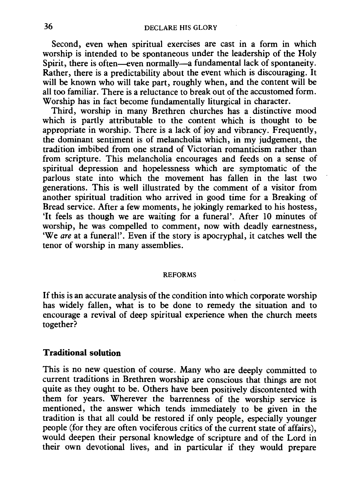Second, even when spiritual exercises are cast in a form in which worship is intended to be spontaneous under the leadership of the Holy Spirit, there is often-even normally-a fundamental lack of spontaneity. Rather, there is a predictability about the event which is discouraging. It will be known who will take part, roughly when, and the content will be all too familiar. There is a reluctance to break out of the accustomed form. Worship has in fact become fundamentally liturgical in character.

Third, worship in many Brethren churches has a distinctive mood which is partly attributable to the content which is thought to be appropriate in worship. There is a lack of joy and vibrancy. Frequently, the dominant sentiment is of melancholia which, in my judgement, the tradition imbibed from one strand of Victorian romanticism rather than from scripture. This melancholia encourages and feeds on a sense of spiritual depression and hopelessness which are symptomatic of the parlous state into which the movement has fallen in the last two generations. This is well illustrated by the comment of a visitor from another spiritual tradition who arrived in good time for a Breaking of Bread service. After a few moments, he jokingly remarked to his hostess, 'It feels as though we are waiting for a funeral'. After 10 minutes of worship, he was compelled to comment, now with deadly earnestness, 'We *are* at a funeral!'. Even if the story is apocryphal, it catches well the tenor of worship in many assemblies.

#### REFORMS

If this is an accurate analysis of the condition into which corporate worship has widely fallen, what is to be done to remedy the situation and to encourage a revival of deep spiritual experience when the church meets together?

#### **Traditional solution**

This is no new question of course. Many who are deeply committed to current traditions in Brethren worship are conscious that things are not quite as they ought to be. Others have been positively discontented with them for years. Wherever the barrenness of the worship service is mentioned, the answer which tends immediately to be given in the tradition is that all could be restored if only people, especially younger people (for they are often vociferous critics of the current state of affairs), would deepen their personal knowledge of scripture and of the Lord in their own devotional lives, and in particular if they would prepare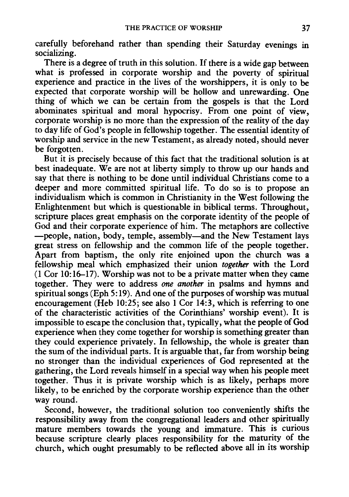carefully beforehand rather than spending their Saturday evenings in socializing.

There is a degree of truth in this solution. If there is a wide gap between what is professed in corporate worship and the poverty of spiritual experience and practice in the lives of the worshippers, it is only to be expected that corporate worship will be hollow and unrewarding. One thing of which we can be certain from the gospels is that the Lord abominates spiritual and moral hypocrisy. From one point of view, corporate worship is no more than the expression of the reality of the day to day life of God's people in fellowship together. The essential identity of worship and service in the new Testament, as already noted, should never be forgotten.

But it is precisely because of this fact that the traditional solution is at best inadequate. We are not at liberty simply to throw up our hands and say that there is nothing to be done until individual Christians come to a deeper and more committed spiritual life. To do so is to propose an individualism which is common in Christianity in the West following the Enlightenment but which is questionable in biblical terms. Throughout, scripture places great emphasis on the corporate identity of the people of God and their corporate experience of him. The metaphors are collective -people, nation, body, temple, assembly-and the New Testament lays great stress on fellowship and the common life of the people together. Apart from baptism, the only rite enjoined upon the church was a fellowship meal which emphasized their union *together* with the Lord (1 Cor 10: 16-17). Worship was not to be a private matter when they came together. They were to address *one another* in psalms and hymns and spiritual songs (Eph 5:19). And one of the purposes of worship was mutual encouragement (Heb 10:25; see also 1 Cor 14:3, which is referring to one of the characteristic activities of the Corinthians' worship event). It is impossible to escape the conclusion that, typically, what the people of God experience when they come together for worship is something greater than they could experience privately. In fellowship, the whole is greater than the sum of the individual parts. It is arguable that, far from worship being no stronger than the individual experiences of God represented at the gathering, the Lord reveals himself in a special way when his people meet together. Thus it is private worship which is as likely, perhaps more likely, to be enriched by the corporate worship experience than the other way round.

Second, however, the traditional solution too conveniently shifts the responsibility away from the congregational leaders and other spiritually mature members towards the young and immature. This is curious because scripture clearly places responsibility for the maturity of the church, which ought presumably to be reflected above all in its worship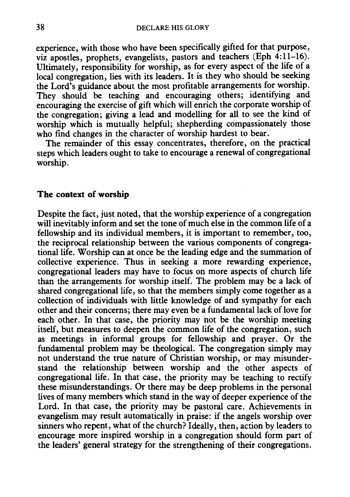experience, with those who have been specifically gifted for that purpose, viz apostles, prophets, evangelists, pastors and teachers (Eph 4:11-16). Ultimately, responsibility for worship, as for every aspect of the life of a local congregation, lies with its leaders. It is they who should be seeking the Lord's guidance about the most profitable arrangements for worship. They should be teaching and encouraging others; identifying and encouraging the exercise of gift which will enrich the corporate worship of the congregation; giving a lead and modelling for all to see the kind of worship which is mutually helpful; shepherding compassionately those who find changes in the character of worship hardest to bear.

The remainder of this essay concentrates, therefore, on the practical steps which leaders ought to take to encourage a renewal of congregational worship.

#### **The context of worship**

Despite the fact, just noted, that the worship experience of a congregation will inevitably inform and set the tone of much else in the common life of a fellowship and its individual members, it is important to remember, too, the reciprocal relationship between the various components of congregational life. Worship can at once be the leading edge and the summation of collective experience. Thus in seeking a more rewarding experience, congregational leaders may have to focus on more aspects of church life than the arrangements for worship itself. The problem may be a lack of shared congregational life, so that the members simply come together as a collection of individuals with little knowledge of and sympathy for each other and their concerns; there may even be a fundamental lack of love for each other. In that case, the priority may not be the worship meeting itself, but measures to deepen the common life of the congregation, such as meetings in informal groups for fellowship and prayer. Or the fundamental problem may be theological. The congregation simply may not understand the true nature of Christian worship, or may misunderstand the relationship between worship and the other aspects of congregational life. In that case, the priority may be teaching to rectify these misunderstandings. Or there may be deep problems in the personal lives of many members which stand in the way of deeper experience of the Lord. In that case, the priority may be pastoral care. Achievements in evangelism may result automatically in praise: if the angels worship over sinners who repent, what of the church? Ideally, then, action by leaders to encourage more inspired worship in a congregation should form part of the leaders' general strategy for the strengthening of their congregations.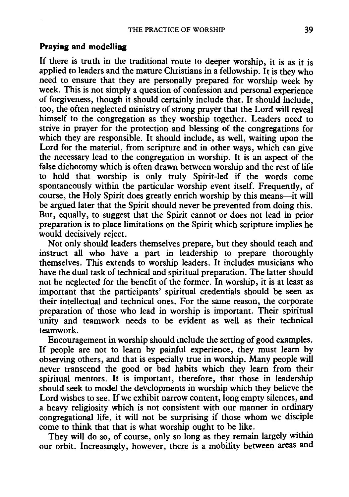#### **Praying and modelling**

If there is truth in the traditional route to deeper worship, it is as it is applied to leaders and the mature Christians in a fellowship. It is they who need to ensure that they are personally prepared for worship week by week. This is not simply a question of confession and personal experience of forgiveness, though it should certainly include that. It should include, too, the often neglected ministry of strong prayer that the Lord will reveal himself to the congregation as they worship together. Leaders need to strive in prayer for the protection and blessing of the congregations for which they are responsible. It should include, as well, waiting upon the Lord for the material, from scripture and in other ways, which can give the necessary lead to the congregation in worship. It is an aspect of the false dichotomy which is often drawn between worship and the rest of life to hold that worship is only truly Spirit-led if the words come spontaneously within the particular worship event itself. Frequently, of course, the Holy Spirit does greatly enrich worship by this means-it will be argued later that the Spirit should never be prevented from doing this. But, equally, to suggest that the Spirit cannot or does not lead in prior preparation is to place limitations on the Spirit which scripture implies he would decisively reject.

Not only should leaders themselves prepare, but they should teach and instruct all who have a part in leadership to prepare thoroughly themselves. This extends to worship leaders. It includes musicians who have the dual task of technical and spiritual preparation. The latter should not be neglected for the benefit of the former. In worship, it is at least as important that the participants' spiritual credentials should be seen as their intellectual and technical ones. For the same reason, the corporate preparation of those who lead in worship is important. Their spiritual unity and teamwork needs to be evident as well as their technical teamwork.

Encouragement in worship should include the setting of good examples. If people are not to learn by painful experience, they must learn by observing others, and that is especially true in worship. Many people will never transcend the good or bad habits which they learn from their spiritual mentors. It is important, therefore, that those in leadership should seek to model the developments in worship which they believe the Lord wishes to see. If we exhibit narrow content, long empty silences, and a heavy religiosity which is not consistent with our manner in ordinary congregational life, it will not be surprising if those whom we disciple come to think that that is what worship ought to be like.

They will do so, of course, only so long as they remain largely within our orbit. Increasingly, however, there is a mobility between areas and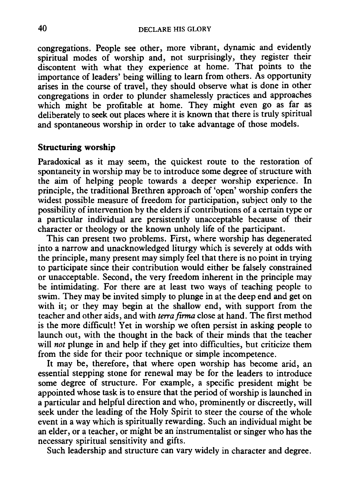congregations. People see other, more vibrant, dynamic and evidently spiritual modes of worship and, not surprisingly, they register their discontent with what they experience at home. That points to the importance of leaders' being willing to learn from others. As opportunity arises in the course of travel, they should observe what is done in other congregations in order to plunder shamelessly practices and approaches which might be profitable at home. They might even go as far as deliberately to seek out places where it is known that there is truly spiritual and spontaneous worship in order to take advantage of those models.

## **Structuring worship**

Paradoxical as it may seem, the quickest route to the restoration of spontaneity in worship may be to introduce some degree of structure with the aim of helping people towards a deeper worship experience. In principle, the traditional Brethren approach of 'open' worship confers the widest possible measure of freedom for participation, subject only to the possibility of intervention by the elders if contributions of a certain type or a particular individual are persistently unacceptable because of their character or theology or the known unholy life of the participant.

This can present two problems. First, where worship has degenerated into a narrow and unacknowledged liturgy which is severely at odds with the principle, many present may simply feel that there is no point in trying to participate since their contribution would either be falsely constrained or unacceptable. Second, the very freedom inherent in the principle may be intimidating. For there are at least two ways of teaching people to swim. They may be invited simply to plunge in at the deep end and get on with it; or they may begin at the shallow end, with support from the teacher and other aids, and with *terrafirma* close at hand. The first method is the more difficult! Yet in worship we often persist in asking people to launch out, with the thought in the back of their minds that the teacher will *not* plunge in and help if they get into difficulties, but criticize them from the side for their poor technique or simple incompetence.

It may be, therefore, that where open worship has become arid, an essential stepping stone for renewal may be for the leaders to introduce some degree of structure. For example, a specific president might be appointed whose task is to ensure that the period of worship is launched in a particular and helpful direction and who, prominently or discreetly, will seek under the leading of the Holy Spirit to steer the course of the whole event in a way which is spiritually rewarding. Such an individual might be an elder, or a teacher, or might be an instrumentalist or singer who has the necessary spiritual sensitivity and gifts.

Such leadership and structure can vary widely in character and degree.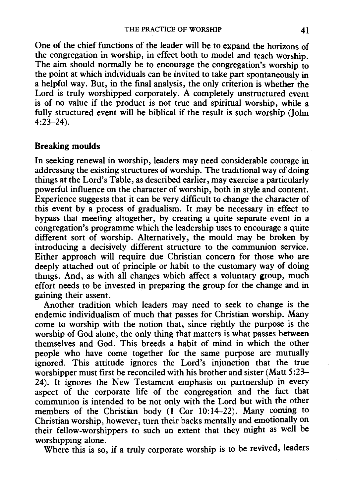One of the chief functions of the leader will be to expand the horizons of the congregation in worship, in effect both to model and teach worship. The aim should normally be to encourage the congregation's worship to the point at which individuals can be invited to take part spontaneously in a helpful way. But, in the final analysis, the only criterion is whether the Lord is truly worshipped corporately. A completely unstructured event is of no value if the product is not true and spiritual worship, while a fully structured event will be biblical if the result is such worship (John 4:23-24).

#### **Breaking moulds**

In seeking renewal in worship, leaders may need considerable courage in addressing the existing structures of worship. The traditional way of doing things at the Lord's Table, as described earlier, may exercise a particularly powerful influence on the character of worship, both in style and content. Experience suggests that it can be very difficult to change the character of this event by a process of gradualism. It may be necessary in effect to bypass that meeting altogether, by creating a quite separate event in a congregation's programme which the leadership uses to encourage a quite different sort of worship. Alternatively, the mould may be broken by introducing a decisively different structure to the communion service. Either approach will require due Christian concern for those who are deeply attached out of principle or habit to the customary way of doing things. And, as with all changes which affect a voluntary group, much effort needs to be invested in preparing the group for the change and in gaining their assent.

Another tradition which leaders may need to seek to change is the endemic individualism of much that passes for Christian worship. Many come to worship with the notion that, since rightly the purpose is the worship of God alone, the only thing that matters is what passes between themselves and God. This breeds a habit of mind in which the other people who have come together for the same purpose are mutually ignored. This attitude ignores the Lord's injunction that the true worshipper must first be reconciled with his brother and sister (Matt 5:23– 24). It ignores the New Testament emphasis on partnership in every aspect of the corporate life of the congregation and the fact that communion is intended to be not only with the Lord but with the other members of the Christian body (1 Cor 10:14-22). Many coming to Christian worship, however, turn their backs mentally and emotionally on their fellow-worshippers to such an extent that they might as well be worshipping alone.

Where this is so, if a truly corporate worship is to be revived, leaders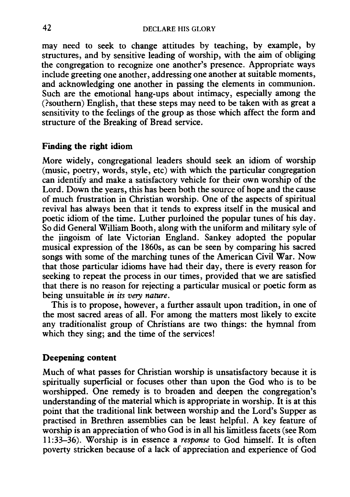may need to seek to change attitudes by teaching, by example, by structures, and by sensitive leading of worship, with the aim of obliging the congregation to recognize one another's presence. Appropriate ways include greeting one another, addressing one another at suitable moments, and acknowledging one another in passing the elements in communion. Such are the emotional hang-ups about intimacy, especially among the (?southern) English, that these steps may need to be taken with as great a sensitivity to the feelings of the group as those which affect the form and structure of the Breaking of Bread service.

## **Finding the right idiom**

More widely, congregational leaders should seek an idiom of worship (music, poetry, words, style, etc) with which the particular congregation can identify and make a satisfactory vehicle for their own worship of the Lord. Down the years, this has been both the source of hope and the cause of much frustration in Christian worship. One of the aspects of spiritual revival has always been that it tends to express itself in the musical and poetic idiom of the time. Luther purloined the popular tunes of his day. So did General William Booth, along with the uniform and military syle of the jingoism of late Victorian England. Sankey adopted the popular musical expression of the 1860s, as can be seen by comparing his sacred songs with some of the marching tunes of the American Civil War. Now that those particular idioms have had their day, there is every reason for seeking to repeat the process in our times, provided that we are satisfied that there is no reason for rejecting a particular musical or poetic form as being unsuitable *in its very nature.* 

This is to propose, however, a further assault upon tradition, in one of the most sacred areas of all. For among the matters most likely to excite any traditionalist group of Christians are two things: the hymnal from which they sing; and the time of the services!

### **Deepening content**

Much of what passes for Christian worship is unsatisfactory because it is spiritually superficial or focuses other than upon the God who is to be worshipped. One remedy is to broaden and deepen the congregation's understanding of the material which is appropriate in worship. It is at this point that the traditional link between worship and the Lord's Supper as practised in Brethren assemblies can be least helpful. A key feature of worship is an appreciation of who God is in all his limitless facets (see Rom 11:33-36). Worship is in essence a *response* to God himself. It is often poverty stricken because of a lack of appreciation and experience of God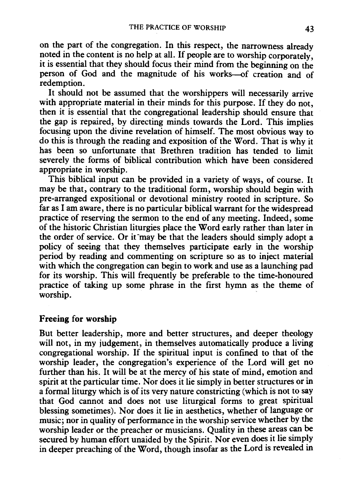on the part of the congregation. In this respect, the narrowness already noted in the content is no help at all. If people are to worship corporately, it is essential that they should focus their mind from the beginning on the person of God and the magnitude of his works-of creation and of redemption.

It should not be assumed that the worshippers will necessarily arrive with appropriate material in their minds for this purpose. If they do not, then it is essential that the congregational leadership should ensure that the gap is repaired, by directing minds towards the Lord. This implies focusing upon the divine revelation of himself. The most obvious way to do this is through the reading and exposition of the Word. That is why it has been so unfortunate that Brethren tradition has tended to limit severely the forms of biblical contribution which have been considered appropriate in worship.

This biblical input can be provided in a variety of ways, of course. It may be that, contrary to the traditional form, worship should begin with pre-arranged expositional or devotional ministry rooted in scripture. So far as I am aware, there is no particular biblical warrant for the widespread practice of reserving the sermon to the end of any meeting. Indeed, some of the historic Christian liturgies place the Word early rather than later in the order of service. Or it may be that the leaders should simply adopt a policy of seeing that they themselves participate early in the worship period by reading and commenting on scripture so as to inject material with which the congregation can begin to work and use as a launching pad for its worship. This will frequently be preferable to the time-honoured practice of taking up some phrase in the first hymn as the theme of worship.

### Freeing for worship

But better leadership, more and better structures, and deeper theology will not, in my judgement, in themselves automatically produce a living congregational worship. If the spiritual input is confined to that of the worship leader, the congregation's experience of the Lord will get no further than his. It will be at the mercy of his state of mind, emotion and spirit at the particular time. Nor does it lie simply in better structures or in a formal liturgy which is of its very nature constricting (which is not to say that God cannot and does not use liturgical forms to great spiritual blessing sometimes). Nor does it lie in aesthetics, whether of language or music; nor in quality of performance in the worship service whether by the worship leader or the preacher or musicians. Quality in these areas can be secured by human effort unaided by the Spirit. Nor even does it lie simply in deeper preaching of the Word, though insofar as the Lord is revealed in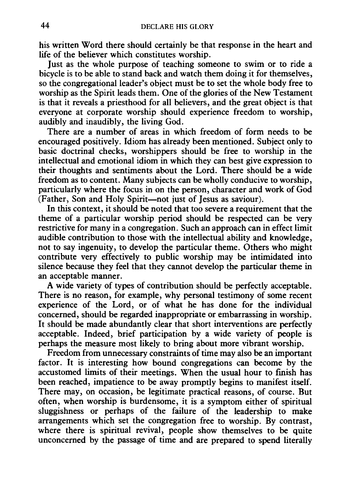his written Word there should certainly be that response in the heart and life of the believer which constitutes worship.

Just as the whole purpose of teaching someone to swim or to ride a bicycle is to be able to stand back and watch them doing it for themselves, so the congregational leader's object must be to set the whole body free to worship as the Spirit leads them. One of the glories of the New Testament is that it reveals a priesthood for all believers, and the great object is that everyone at corporate worship should experience freedom to worship, audibly and inaudibly, the living God.

There are a number of areas in which freedom of form needs to be encouraged positively. Idiom has already been mentioned. Subject only to basic doctrinal checks, worshippers should be free to worship in the intellectual and emotional idiom in which they can best give expression to their thoughts and sentiments about the Lord. There should be a wide freedom as to content. Many subjects can be wholly conducive to worship, particularly where the focus in on the person, character and work of God (Father, Son and Holy Spirit-not just of Jesus as saviour).

In this context, it should be noted that too severe a requirement that the theme of a particular worship period should be respected can be very restrictive for many in a congregation. Such an approach can in effect limit audible contribution to those with the intellectual ability and knowledge, not to say ingenuity, to develop the particular theme. Others who might contribute very effectively to public worship may be intimidated into silence because they feel that they cannot develop the particular theme in an acceptable manner.

A wide variety of types of contribution should be perfectly acceptable. There is no reason, for example, why personal testimony of some recent experience of the Lord, or of what he has done for the individual concerned, should be regarded inappropriate or embarrassing in worship. It should be made abundantly clear that short interventions are perfectly acceptable. Indeed, brief participation by a wide variety of people is perhaps the measure most likely to bring about more vibrant worship.

Freedom from unnecessary constraints of time may also be an important factor. It is interesting how bound congregations can become by the accustomed limits of their meetings. When the usual hour to fmish has been reached, impatience to be away promptly begins to manifest itself. There may, on occasion, be legitimate practical reasons, of course. But often, when worship is burdensome, it is a symptom either of spiritual sluggishness or perhaps of the failure of the leadership to make arrangements which set the congregation free to worship. By contrast, where there is spiritual revival, people show themselves to be quite unconcerned by the passage of time and are prepared to spend literally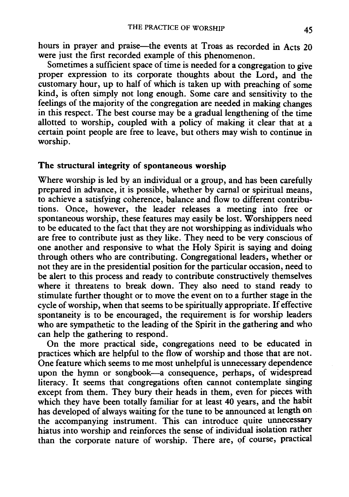hours in prayer and praise-the events at Troas as recorded in Acts 20 were just the first recorded example of this phenomenon.

Sometimes a sufficient space of time is needed for a congregation to give proper expression to its corporate thoughts about the Lord, and the customary hour, up to half of which is taken up with preaching of some kind, is often simply not long enough. Some care and sensitivity to the feelings of the majority of the congregation are needed in making changes in this respect. The best course may be a gradual lengthening of the time allotted to worship, coupled with a policy of making it clear that at a certain point people are free to leave, but others may wish to continue in worship.

### **The** structural integrity of spontaneous worship

Where worship is led by an individual or a group, and has been carefully prepared in advance, it is possible, whether by carnal or spiritual means, to achieve a satisfying coherence, balance and flow to different contributions. Once, however, the leader releases a meeting into free or spontaneous worship, these features may easily be lost. Worshippers need to be educated to the fact that they are not worshipping as individuals who are free to contribute just as they like. They need to be very conscious of one another and responsive to what the Holy Spirit is saying and doing through others who are contributing. Congregational leaders, whether or not they are in the presidential position for the particular occasion, need to be alert to this process and ready to contribute constructively themselves where it threatens to break down. They also need to stand ready to stimulate further thought or to move the event on to a further stage in the cycle of worship, when that seems to be spiritually appropriate. If effective spontaneity is to be encouraged, the requirement is for worship leaders who are sympathetic to the leading of the Spirit in the gathering and who can help the gathering to respond.

On the more practical side, congregations need to be educated in practices which are helpful to the flow of worship and those that are not. One feature which seems to me most unhelpful is unnecessary dependence upon the hymn or songbook-a consequence, perhaps, of widespread literacy. It seems that congregations often cannot contemplate singing except from them. They bury their heads in them, even for pieces with which they have been totally familiar for at least 40 years, and the habit has developed of always waiting for the tune to be announced at length on the accompanying instrument. This can introduce quite unnecessary hiatus into worship and reinforces the sense of individual isolation rather than the corporate nature of worship. There are, of course, practical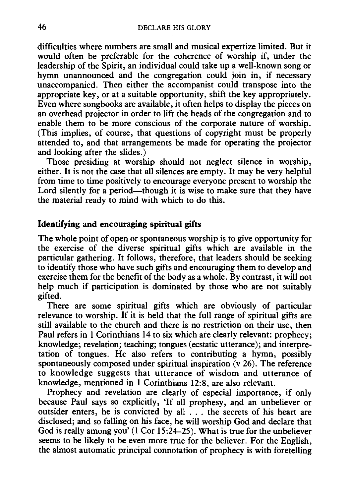difficulties where numbers are small and musical expertize limited. But it would often be preferable for the coherence of worship if, under the leadership of the Spirit, an individual could take up a well-known song or hymn unannounced and the congregation could join in, if necessary unaccompanied. Then either the accompanist could transpose into the appropriate key, or at a suitable opportunity, shift the key appropriately. Even where songbooks are available, it often helps to display the pieces on an overhead projector in order to lift the heads of the congregation and to enable them to be more conscious of the corporate nature of worship. (This implies, of course, that questions of copyright must be properly attended to, and that arrangements be made for operating the projector and looking after the slides.)

Those presiding at worship should not neglect silence in worship, either. It is not the case that all silences are empty. It may be very helpful from time to time positively to encourage everyone present to worship the Lord silently for a period—though it is wise to make sure that they have the material ready to mind with which to do this.

## Identifying and encouraging spiritual gifts

The whole point of open or spontaneous worship is to give opportunity for the exercise of the diverse spiritual gifts which are available in the particular gathering. It follows, therefore, that leaders should be seeking to identify those who have such gifts and encouraging them to develop and exercise them for the benefit of the body as a whole. By contrast, it will not help much if participation is dominated by those who are not suitably gifted.

There are some spiritual gifts which are obviously of particular relevance to worship. If it is held that the full range of spiritual gifts are still available to the church and there is no restriction on their use, then Paul refers in I Corinthians 14 to six which are clearly relevant: prophecy; knowledge; revelation; teaching; tongues (ecstatic utterance); and interpretation of tongues. He also refers to contributing a hymn, possibly spontaneously composed under spiritual inspiration (v 26). The reference to knowledge suggests that utterance of wisdom and utterance of knowledge, mentioned in 1 Corinthians 12:8, are also relevant.

Prophecy and revelation are clearly of especial importance, if only because Paul says so explicitly, 'If all prophesy, and an unbeliever or outsider enters, he is convicted by all ... the secrets of his heart are disclosed; and so falling on his face, he will worship God and declare that God is really among you' (I Cor 15:24-25). What is true for the unbeliever seems to be likely to be even more true for the believer. For the English, the almost automatic principal connotation of prophecy is with foretelling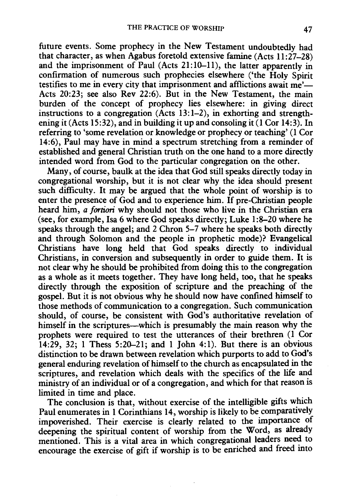future events. Some prophecy in the New Testament undoubtedly had that character, as when Agabus foretold extensive famine  $(A \text{cts } 11:27-28)$ and the imprisonment of Paul (Acts 21:10-11), the latter apparently in confirmation of numerous such prophecies elsewhere ('the Holy Spirit testifies to me in every city that imprisonment and afflictions await me'-Acts 20:23; see also Rev 22:6). But in the New Testament, the main burden of the concept of prophecy lies elsewhere: in giving direct instructions to a congregation  $(Acts 13:1-2)$ , in exhorting and strengthening it (Acts 15:32), and in building it up and consoling it (1 Cor 14:3). In referring to 'some revelation or knowledge or prophecy or teaching' (1 Cor 14:6), Paul may have in mind a spectrum stretching from a reminder of established and general Christian truth on the one hand to a more directly intended word from God to the particular congregation on the other.

Many, of course, baulk at the idea that God still speaks directly today in congregational worship, but it is not clear why the idea should present such difficulty. It may be argued that the whole point of worship is to enter the presence of God and to experience him. If pre-Christian people heard him, *a fortiori* why should not those who live in the Christian era (see, for example, Isa 6 where God speaks directly; Luke 1:8-20 where he speaks through the angel; and 2 Chron 5-7 where he speaks both directly and through Solomon and the people in prophetic mode)? Evangelical Christians have long held that God speaks directly to individual Christians, in conversion and subsequently in order to guide them. It is not clear why he should be prohibited from doing this to the congregation as a whole as it meets together. They have long held, too, that he speaks directly through the exposition of scripture and the preaching of the gospel. But it is not obvious why he should now have confined himself to those methods of communication to a congregation. Such communication should, of course, be consistent with God's authoritative revelation of himself in the scriptures—which is presumably the main reason why the prophets were required to test the utterances of their brethren (1 Cor 14:29, 32; 1 Thess 5:20-21; and 1 John 4:1). But there is an obvious distinction to be drawn between revelation which purports to add to God's general enduring revelation of himself to the church as encapsulated in the scriptures, and revelation which deals with the specifics of the life and ministry of an individual or of a congregation, and which for that reason is limited in time and place.

The conclusion is that, without exercise of the intelligible gifts which Paul enumerates in 1 Corinthians 14, worship is likely to be comparatively impoverished. Their exercise is clearly related to the importance of deepening the spiritual content of worship from the Word, as already mentioned. This is a vital area in which congregational leaders need to encourage the exercise of gift if worship is to be enriched and freed into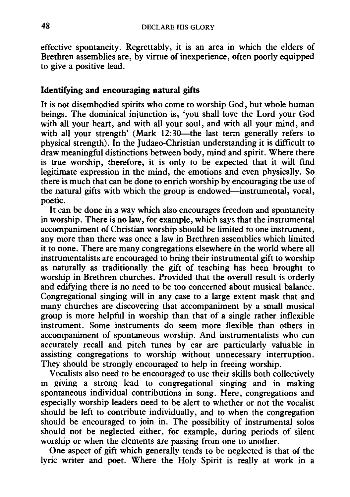effective spontaneity. Regrettably, it is an area in which the elders of Brethren assemblies are, by virtue of inexperience, often poorly equipped to give a positive lead.

## Identifying and encouraging natural gifts

It is not disembodied spirits who come to worship God, but whole human beings. The dominical injunction is, 'you shall love the Lord your God with all your heart, and with all your soul, and with all your mind, and with all your strength' (Mark  $12:30$ —the last term generally refers to physical strength). In the Judaeo-Christian understanding it is difficult to draw meaningful distinctions between body, mind and spirit. Where there is true worship, therefore, it is only to be expected that it will find legitimate expression in the mind, the emotions and even physically. So there is much that can be done to enrich worship by encouraging the use of the natural gifts with which the group is endowed—instrumental, vocal, poetic.

It can be done in a way which also encourages freedom and spontaneity in worship. There is no law, for example, which says that the instrumental accompaniment of Christian worship should be limited to one instrument, any more than there was once a law in Brethren assemblies which limited it to none. There are many congregations elsewhere in the world where all instrumentalists are encouraged to bring their instrumental gift to worship as naturally as traditionally the gift of teaching has been brought to worship in Brethren churches. Provided that the overall result is orderly and edifying there is no need to be too concerned about musical balance. Congregational singing will in any case to a large extent mask that and many churches are discovering that accompaniment by a small musical group is more helpful in worship than that of a single rather inflexible instrument. Some instruments do seem more flexible than others in accompaniment of spontaneous worship. And instrumentalists who can accurately recall and pitch tunes by ear are particularly valuable in assisting congregations to worship without unnecessary interruption. They should be strongly encouraged to help in freeing worship.

Vocalists also need to be encouraged to use their skills both collectively in giving a strong lead to congregational singing and in making spontaneous individual contributions in song. Here, congregations and especially worship leaders need to be alert to whether or not the vocalist should be left to contribute individually, and to when the congregation should be encouraged to join in. The possibility of instrumental solos should not be neglected either, for example, during periods of silent worship or when the elements are passing from one to another.

One aspect of gift which generally tends to be neglected is that of the lyric writer and poet. Where the Holy Spirit is really at work in a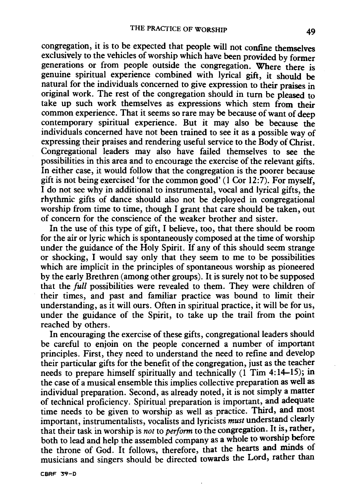congregation, it is to be expected that people will not confme themselves exclusively to the vehicles of worship which have been provided by former generations or from people outside the congregation. Where there is genuine spiritual experience combined with lyrical gift, it should be natural for the individuals concerned to give expression to their praises in original work. The rest of the congregation should in turn be pleased to take up such work themselves as expressions which stem from their common experience. That it seems so rare may be because of want of deep contemporary spiritual experience. But it may also be because the individuals concerned have not been trained to see it as a possible way of expressing their praises and rendering useful service to the Body of Christ. Congregational leaders may also have failed themselves to see the possibilities in this area and to encourage the exercise of the relevant gifts. In either case, it would follow that the congregation is the poorer because gift is not being exercised 'for the common good' (1 Cor  $12:\overline{7}$ ). For myself, I do not see why in additional to instrumental, vocal and lyrical gifts, the rhythmic gifts of dance should also not be deployed in congregational worship from time to time, though I grant that care should be taken, out of concern for the conscience of the weaker brother and sister.

In the use of this type of gift, I believe, too, that there should be room for the air or lyric which is spontaneously composed at the time of worship under the guidance of the Holy Spirit. If any of this should seem strange or shocking, I would say only that they seem to me to be possibilities which are implicit in the principles of spontaneous worship as pioneered by the early Brethren (among other groups). It is surely not to be supposed that the *full* possibilities were revealed to them. They were children of their times, and past and familiar practice was bound to limit their understanding, as it will ours. Often in spiritual practice, it will be for us, under the guidance of the Spirit, to take up the trail from the point reached by others.

In encouraging the exercise of these gifts, congregational leaders should be careful to enjoin on the people concerned a number of important principles. First, they need to understand the need to refine and develop their particular gifts for the benefit of the congregation, just as the teacher needs to prepare himself spiritually and technically (1 Tim 4:14-15); in the case of a musical ensemble this implies collective preparation as well as individual preparation. Second, as already noted, it is not simply a matter of technical proficiency. Spiritual preparation is important, and adequate time needs to be given to worship as well as practice. Third, and most important, instrumentalists, vocalists and lyricists *must* understand clearly that their task in worship is *not* to *perform* to the congregation. It is, rather, both to lead and help the assembled company as a whole to worship before the throne of God. It follows, therefore, that the hearts and minds of musicians and singers should be directed towards the Lord, rather than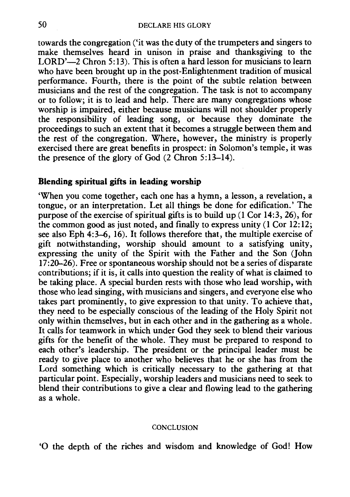towards the congregation ('it was the duty of the trumpeters and singers to make themselves heard in unison in praise and thanksgiving to the LORD'-2 Chron 5:13). This is often a hard lesson for musicians to learn who have been brought up in the post-Enlightenment tradition of musical performance. Fourth, there is the point of the subtle relation between musicians and the rest of the congregation. The task is not to accompany or to follow; it is to lead and help. There are many congregations whose worship is impaired, either because musicians will not shoulder properly the responsibility of leading song, or because they dominate the proceedings to such an extent that it becomes a struggle between them and the rest of the congregation. Where, however, the ministry is properly exercised there are great benefits in prospect: in Solomon's temple, it was the presence of the glory of God (2 Chron 5:13-14).

## **Blending spiritual gifts in leading worship**

'When you come together, each one has a hymn, a lesson, a revelation, a tongue, or an interpretation. Let all things be done for edification.' The purpose of the exercise of spiritual gifts is to build up  $(1 \text{ Cor } 14:3, 26)$ , for the common good as just noted, and finally to express unity (1 Cor 12: 12; see also Eph 4:3-6, 16). It follows therefore that, the multiple exercise of gift notwithstanding, worship should amount to a satisfying unity, expressing the unity of the Spirit with the Father and the Son (John 17 :20-26). Free or spontaneous worship should not be a series of disparate contributions; if it is, it calls into question the reality of what is claimed to be taking place. A special burden rests with those who lead worship, with those who lead singing, with musicians and singers, and everyone else who takes part prominently, to give expression to that unity. To achieve that, they need to be especially conscious of the leading of the Holy Spirit not only within themselves, but in each other and in the gathering as a whole. It calls for teamwork in which under God they seek to blend their various gifts for the benefit of the whole. They must be prepared to respond to each other's leadership. The president or the principal leader must be ready to give place to another who believes that he or she has from the Lord something which is critically necessary to the gathering at that particular point. Especially, worship leaders and musicians need to seek to blend their contributions to give a clear and flowing lead to the gathering as a whole.

#### **CONCLUSION**

'0 the depth of the riches and wisdom and knowledge of God! How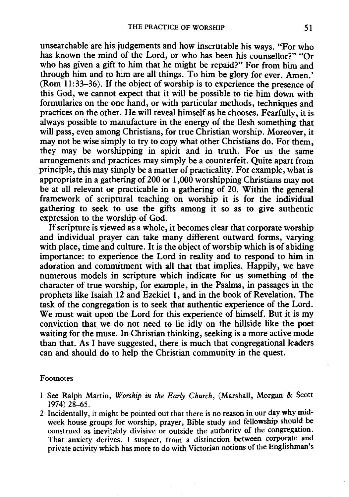unsearchable are his judgements and how inscrutable his ways. "For who has known the mind of the Lord, or who has been his counsellor?" "Or who has given a gift to him that he might be repaid?" For from him and through him and to him are all things. To him be glory for ever. Amen.' (Rom 11 :33-36). If the object of worship is to experience the presence of this God, we cannot expect that it will be possible to tie him down with formularies on the one hand, or with particular methods, techniques and practices on the other. He will reveal himself as he chooses. Fearfully, it is always possible to manufacture in the energy of the flesh something that will pass, even among Christians, for true Christian worship. Moreover, it may not be wise simply to try to copy what other Christians do. For them, they may be worshipping in spirit and in truth. For us the same arrangements and practices may simply be a counterfeit. Quite apart from principle, this may simply be a matter of practicality. For example, what is appropriate in a gathering of 200 or 1,000 worshipping Christians may not be at all relevant or practicable in a gathering of 20. Within the general framework of scriptural teaching on worship it is for the individual gathering to seek to use the gifts among it so as to give authentic expression to the worship of God.

If scripture is viewed as a whole, it becomes clear that corporate worship and individual prayer can take many different outward forms, varying with place, time and culture. It is the object of worship which is of abiding importance: to experience the Lord in reality and to respond to him in adoration and commitment with all that that implies. Happily, we have numerous models in scripture which indicate for us something of the character of true worship, for example, in the Psalms, in passages in the prophets like Isaiah 12 and Ezekiel 1, and in the book of Revelation. The task of the congregation is to seek that authentic experience of the Lord. We must wait upon the Lord for this experience of himself. But it is my conviction that we do not need to lie idly on the hillside like the poet waiting for the muse. In Christian thinking, seeking is a more active mode than that. As I have suggested, there is much that congregational leaders can and should do to help the Christian community in the quest.

#### Footnotes

- 1 See Ralph Martin, *Worship in the Early Church,* (Marshall, Morgan & Scott 1974) 28-65.
- 2 Incidentally, it might be pointed out that there is no reason in our day why midweek house groups for worship, prayer, Bible study and fellowship should be construed as inevitably divisive or outside the authority of the congregation. That anxiety derives, I suspect, from a distinction between corporate and private activity which has more to do with Victorian notions of the Englishman's